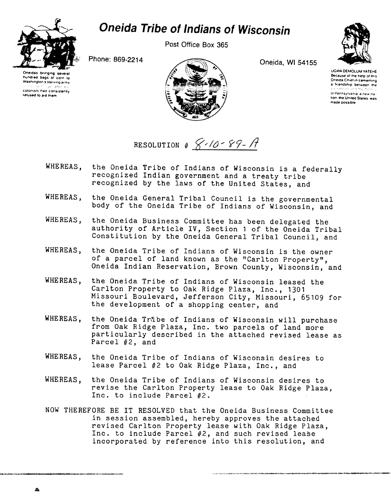

## **Oneida Tribe of Indians of Wisconsin**

Post Office Box 365

Oneida, WI 54155



**UGWA DEMOLUM YATEHE** Because of the help of this Oneida Chief in cementing a friendship between the of Pennsylvania, a new nation, the United States, was made possible

Phone: 869-2214



RESOLUTION #  $8-10-89-$ A

- WHEREAS. the Oneida Tribe of Indians of Wisconsin is a federally recognized Indian government and a treaty tribe recognized by the laws of the United States, and
- WHEREAS. the Oneida General Tribal Council is the governmental body of the Oneida Tribe of Indians of Wisconsin, and
- WHEREAS, the Oneida Business Committee has been delegated the authority of Article IV, Section 1 of the Oneida Tribal Constitution by the Oneida General Tribal Council, and
- WHEREAS, the Oneida Tribe of Indians of Wisconsin is the owner of a parcel of land known as the "Carlton Property", Oneida Indian Reservation, Brown County, Wisconsin, and
- WHEREAS, the Oneida Tribe of Indians of Wisconsin leased the Carlton Property to Oak Ridge Plaza, Inc., 1301 Missouri Boulevard, Jefferson City, Missouri, 65109 for the development of a shopping center, and
- the Oneida Tribe of Indians of Wisconsin will purchase WHEREAS. from Oak Ridge Plaza, Inc. two parcels of land more particularly described in the attached revised lease as Parcel #2, and
- WHEREAS. the Oneida Tribe of Indians of Wisconsin desires to lease Parcel #2 to Oak Ridge Plaza, Inc., and
- WHEREAS, the Oneida Tribe of Indians of Wisconsin desires to revise the Carlton Property lease to Oak Ridge Plaza, Inc. to include Parcel #2.
- NOW THEREFORE BE IT RESOLVED that the Oneida Business Committee in session assembled, hereby approves the attached revised Carlton Property lease with Oak Ridge Plaza, Inc. to include Parcel #2, and such revised lease incorporated by reference into this resolution, and